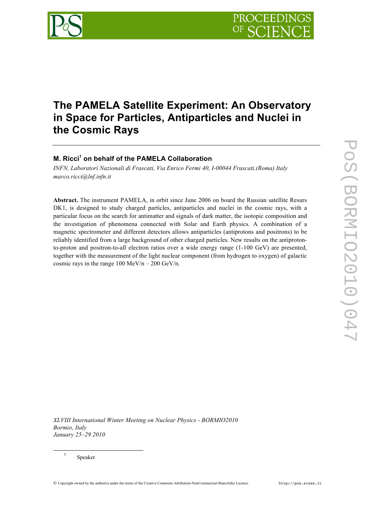

# **The PAMELA Satellite Experiment: An Observatory in Space for Particles, Antiparticles and Nuclei in the Cosmic Rays**

## **M. Ricci1 on behalf of the PAMELA Collaboration**

*INFN, Laboratori Nazionali di Frascati, Via Enrico Fermi 40, I-00044 Frascati,(Roma) Italy marco.ricci@lnf.infn.it*

**Abstract.** The instrument PAMELA, in orbit since June 2006 on board the Russian satellite Resurs DK1, is designed to study charged particles, antiparticles and nuclei in the cosmic rays, with a particular focus on the search for antimatter and signals of dark matter, the isotopic composition and the investigation of phenomena connected with Solar and Earth physics. A combination of a magnetic spectrometer and different detectors allows antiparticles (antiprotons and positrons) to be reliably identified from a large background of other charged particles. New results on the antiprotonto-proton and positron-to-all electron ratios over a wide energy range (1-100 GeV) are presented, together with the measurement of the light nuclear component (from hydrogen to oxygen) of galactic cosmic rays in the range  $100 \text{ MeV/n} - 200 \text{ GeV/n}$ .

*XLVIII International Winter Meeting on Nuclear Physics - BORMIO2010 Bormio, Italy January 25–29 2010*

<sup>1</sup> Speaker

Copyright owned by the author(s) under the terms of the Creative Commons Attribution-NonCommercial-ShareAlike Licence. http://pos.sissa.it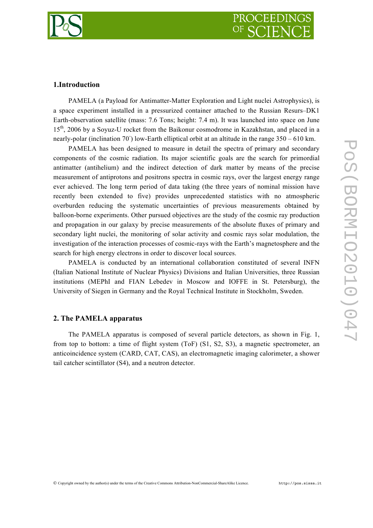

### **1.Introduction**

PAMELA (a Payload for Antimatter-Matter Exploration and Light nuclei Astrophysics), is a space experiment installed in a pressurized container attached to the Russian Resurs–DK1 Earth-observation satellite (mass: 7.6 Tons; height: 7.4 m). It was launched into space on June 15<sup>th</sup>, 2006 by a Soyuz-U rocket from the Baikonur cosmodrome in Kazakhstan, and placed in a nearly-polar (inclination 70°) low-Earth elliptical orbit at an altitude in the range 350 – 610 km.

PAMELA has been designed to measure in detail the spectra of primary and secondary components of the cosmic radiation. Its major scientific goals are the search for primordial antimatter (antihelium) and the indirect detection of dark matter by means of the precise measurement of antiprotons and positrons spectra in cosmic rays, over the largest energy range ever achieved. The long term period of data taking (the three years of nominal mission have recently been extended to five) provides unprecedented statistics with no atmospheric overburden reducing the systematic uncertainties of previous measurements obtained by balloon-borne experiments. Other pursued objectives are the study of the cosmic ray production and propagation in our galaxy by precise measurements of the absolute fluxes of primary and secondary light nuclei, the monitoring of solar activity and cosmic rays solar modulation, the investigation of the interaction processes of cosmic-rays with the Earth's magnetosphere and the search for high energy electrons in order to discover local sources.

PAMELA is conducted by an international collaboration constituted of several INFN (Italian National Institute of Nuclear Physics) Divisions and Italian Universities, three Russian institutions (MEPhI and FIAN Lebedev in Moscow and IOFFE in St. Petersburg), the University of Siegen in Germany and the Royal Technical Institute in Stockholm, Sweden.

### **2. The PAMELA apparatus**

The PAMELA apparatus is composed of several particle detectors, as shown in Fig. 1, from top to bottom: a time of flight system (ToF) (S1, S2, S3), a magnetic spectrometer, an anticoincidence system (CARD, CAT, CAS), an electromagnetic imaging calorimeter, a shower tail catcher scintillator (S4), and a neutron detector.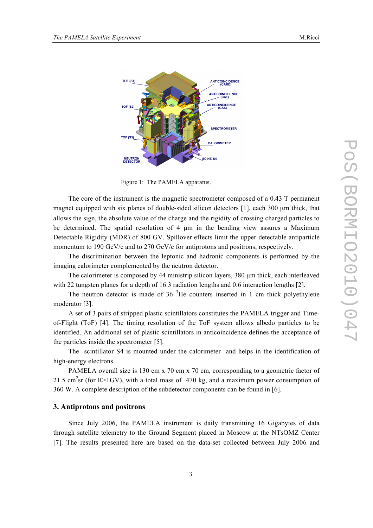

Figure 1: The PAMELA apparatus.

The core of the instrument is the magnetic spectrometer composed of a 0.43 T permanent magnet equipped with six planes of double-sided silicon detectors [1], each 300 µm thick, that allows the sign, the absolute value of the charge and the rigidity of crossing charged particles to be determined. The spatial resolution of 4  $\mu$ m in the bending view assures a Maximum Detectable Rigidity (MDR) of 800 GV. Spillover effects limit the upper detectable antiparticle momentum to 190 GeV/c and to 270 GeV/c for antiprotons and positrons, respectively.

The discrimination between the leptonic and hadronic components is performed by the imaging calorimeter complemented by the neutron detector.

The calorimeter is composed by 44 ministrip silicon layers, 380  $\mu$ m thick, each interleaved with 22 tungsten planes for a depth of 16.3 radiation lengths and 0.6 interaction lengths [2].

The neutron detector is made of  $36<sup>3</sup>$  He counters inserted in 1 cm thick polyethylene moderator [3].

A set of 3 pairs of stripped plastic scintillators constitutes the PAMELA trigger and Timeof-Flight (ToF) [4]. The timing resolution of the ToF system allows albedo particles to be identified. An additional set of plastic scintillators in anticoincidence defines the acceptance of the particles inside the spectrometer [5].

The scintillator S4 is mounted under the calorimeter and helps in the identification of high-energy electrons.

PAMELA overall size is 130 cm x 70 cm x 70 cm, corresponding to a geometric factor of 21.5 cm<sup>2</sup>sr (for R>1GV), with a total mass of 470 kg, and a maximum power consumption of 360 W. A complete description of the subdetector components can be found in [6].

#### **3. Antiprotons and positrons**

Since July 2006, the PAMELA instrument is daily transmitting 16 Gigabytes of data through satellite telemetry to the Ground Segment placed in Moscow at the NTsOMZ Center [7]. The results presented here are based on the data-set collected between July 2006 and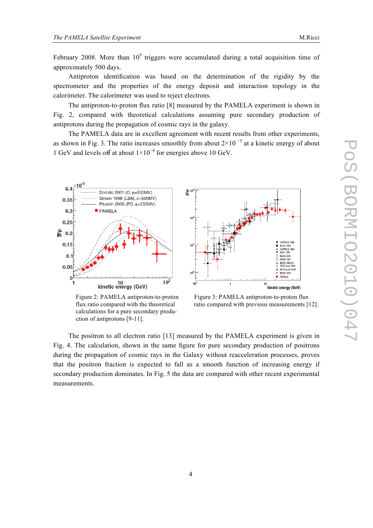February 2008. More than  $10^9$  triggers were accumulated during a total acquisition time of approximately 500 days.

Antiproton identification was based on the determination of the rigidity by the spectrometer and the properties of the energy deposit and interaction topology in the calorimeter. The calorimeter was used to reject electrons.

The antiproton-to-proton flux ratio [8] measured by the PAMELA experiment is shown in Fig. 2, compared with theoretical calculations assuming pure secondary production of antiprotons during the propagation of cosmic rays in the galaxy.

The PAMELA data are in excellent agreement with recent results from other experiments, as shown in Fig. 3. The ratio increases smoothly from about  $2\times10^{-5}$  at a kinetic energy of about 1 GeV and levels off at about 1×10<sup>−</sup><sup>4</sup> for energies above 10 GeV.



calculations for a pure secondary production of antiprotons [9-11].



Figure 2: PAMELA antiproton-to-proton Figure 3: PAMELA antiproton-to-proton flux flux ratio compared with the theoretical ratio compared with previous measurements [12].

The positron to all electron ratio [13] measured by the PAMELA experiment is given in Fig. 4. The calculation, shown in the same figure for pure secondary production of positrons during the propagation of cosmic rays in the Galaxy without reacceleration processes, proves that the positron fraction is expected to fall as a smooth function of increasing energy if secondary production dominates. In Fig. 5 the data are compared with other recent experimental measurements.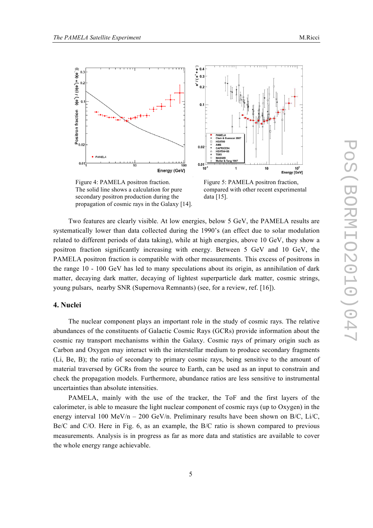

The solid line shows a calculation for pure compared with other recent experimental secondary positron production during the data [15]. propagation of cosmic rays in the Galaxy [14].

Energy [GeV] Figure 4: PAMELA positron fraction. Figure 5: PAMELA positron fraction.

 $10$ 

 $10<sup>2</sup>$ 

Two features are clearly visible. At low energies, below 5 GeV, the PAMELA results are systematically lower than data collected during the 1990's (an effect due to solar modulation related to different periods of data taking), while at high energies, above 10 GeV, they show a positron fraction significantly increasing with energy. Between 5 GeV and 10 GeV, the PAMELA positron fraction is compatible with other measurements. This excess of positrons in the range 10 - 100 GeV has led to many speculations about its origin, as annihilation of dark matter, decaying dark matter, decaying of lightest superparticle dark matter, cosmic strings, young pulsars, nearby SNR (Supernova Remnants) (see, for a review, ref. [16]).

### **4. Nuclei**

The nuclear component plays an important role in the study of cosmic rays. The relative abundances of the constituents of Galactic Cosmic Rays (GCRs) provide information about the cosmic ray transport mechanisms within the Galaxy. Cosmic rays of primary origin such as Carbon and Oxygen may interact with the interstellar medium to produce secondary fragments (Li, Be, B); the ratio of secondary to primary cosmic rays, being sensitive to the amount of material traversed by GCRs from the source to Earth, can be used as an input to constrain and check the propagation models. Furthermore, abundance ratios are less sensitive to instrumental uncertainties than absolute intensities.

PAMELA, mainly with the use of the tracker, the ToF and the first layers of the calorimeter, is able to measure the light nuclear component of cosmic rays (up to Oxygen) in the energy interval 100 MeV/n – 200 GeV/n. Preliminary results have been shown on B/C, Li/C, Be/C and C/O. Here in Fig. 6, as an example, the B/C ratio is shown compared to previous measurements. Analysis is in progress as far as more data and statistics are available to cover the whole energy range achievable.